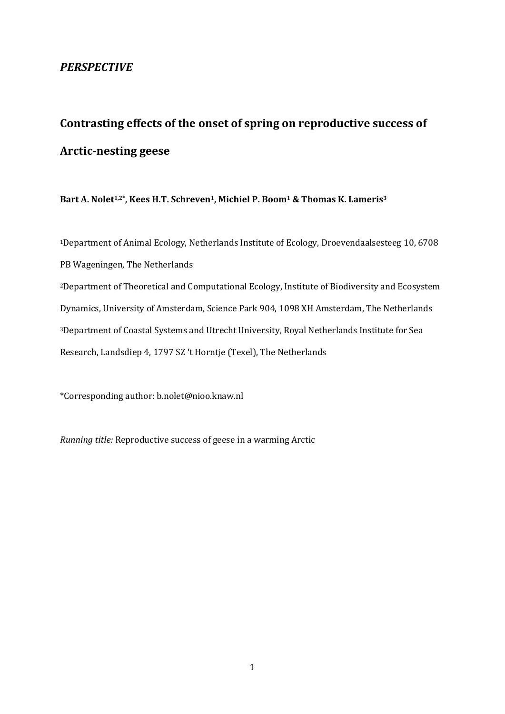# **PERSPECTIVE**

# Contrasting effects of the onset of spring on reproductive success of Arctic-nesting geese

Bart A. Nolet<sup>1,2\*</sup>, Kees H.T. Schreven<sup>1</sup>, Michiel P. Boom<sup>1</sup> & Thomas K. Lameris<sup>3</sup>

<sup>1</sup>Department of Animal Ecology, Netherlands Institute of Ecology, Droevendaalsesteeg 10, 6708 PB Wageningen, The Netherlands <sup>2</sup>Department of Theoretical and Computational Ecology, Institute of Biodiversity and Ecosystem Dynamics, University of Amsterdam, Science Park 904, 1098 XH Amsterdam, The Netherlands <sup>3</sup>Department of Coastal Systems and Utrecht University, Royal Netherlands Institute for Sea Research, Landsdiep 4, 1797 SZ 't Horntje (Texel), The Netherlands

\*Corresponding author: b.nolet@nioo.knaw.nl

Running title: Reproductive success of geese in a warming Arctic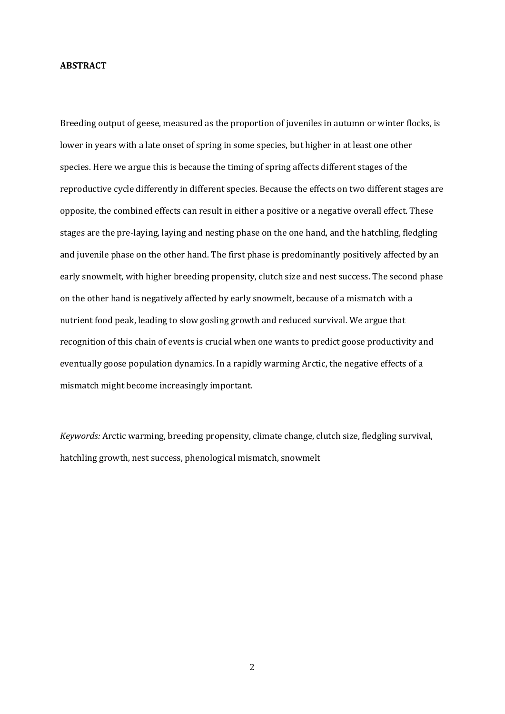#### ABSTRACT

Breeding output of geese, measured as the proportion of juveniles in autumn or winter flocks, is lower in years with a late onset of spring in some species, but higher in at least one other species. Here we argue this is because the timing of spring affects different stages of the reproductive cycle differently in different species. Because the effects on two different stages are opposite, the combined effects can result in either a positive or a negative overall effect. These stages are the pre-laying, laying and nesting phase on the one hand, and the hatchling, fledgling and juvenile phase on the other hand. The first phase is predominantly positively affected by an early snowmelt, with higher breeding propensity, clutch size and nest success. The second phase on the other hand is negatively affected by early snowmelt, because of a mismatch with a nutrient food peak, leading to slow gosling growth and reduced survival. We argue that recognition of this chain of events is crucial when one wants to predict goose productivity and eventually goose population dynamics. In a rapidly warming Arctic, the negative effects of a mismatch might become increasingly important.

Keywords: Arctic warming, breeding propensity, climate change, clutch size, fledgling survival, hatchling growth, nest success, phenological mismatch, snowmelt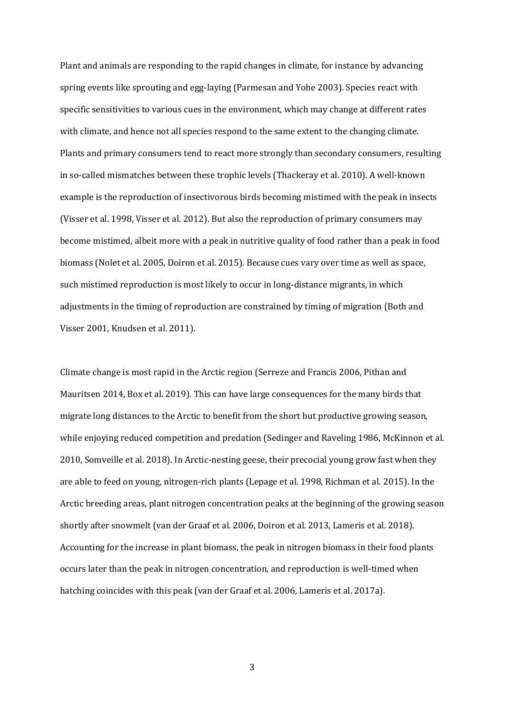Plant and animals are responding to the rapid changes in climate, for instance by advancing spring events like sprouting and egg-laying (Parmesan and Yohe 2003). Species react with specific sensitivities to various cues in the environment, which may change at different rates with climate, and hence not all species respond to the same extent to the changing climate. Plants and primary consumers tend to react more strongly than secondary consumers, resulting in so-called mismatches between these trophic levels (Thackeray et al. 2010). A well-known example is the reproduction of insectivorous birds becoming mistimed with the peak in insects (Visser et al. 1998, Visser et al. 2012). But also the reproduction of primary consumers may become mistimed, albeit more with a peak in nutritive quality of food rather than a peak in food biomass (Nolet et al. 2005, Doiron et al. 2015). Because cues vary over time as well as space, such mistimed reproduction is most likely to occur in long-distance migrants, in which adjustments in the timing of reproduction are constrained by timing of migration (Both and Visser 2001, Knudsen et al. 2011).

Climate change is most rapid in the Arctic region (Serreze and Francis 2006, Pithan and Mauritsen 2014, Box et al. 2019). This can have large consequences for the many birds that migrate long distances to the Arctic to benefit from the short but productive growing season, while enjoying reduced competition and predation (Sedinger and Raveling 1986, McKinnon et al. 2010, Somveille et al. 2018). In Arctic-nesting geese, their precocial young grow fast when they are able to feed on young, nitrogen-rich plants (Lepage et al. 1998, Richman et al. 2015). In the Arctic breeding areas, plant nitrogen concentration peaks at the beginning of the growing season shortly after snowmelt (van der Graaf et al. 2006, Doiron et al. 2013, Lameris et al. 2018). Accounting for the increase in plant biomass, the peak in nitrogen biomass in their food plants occurs later than the peak in nitrogen concentration, and reproduction is well-timed when hatching coincides with this peak (van der Graaf et al. 2006, Lameris et al. 2017a).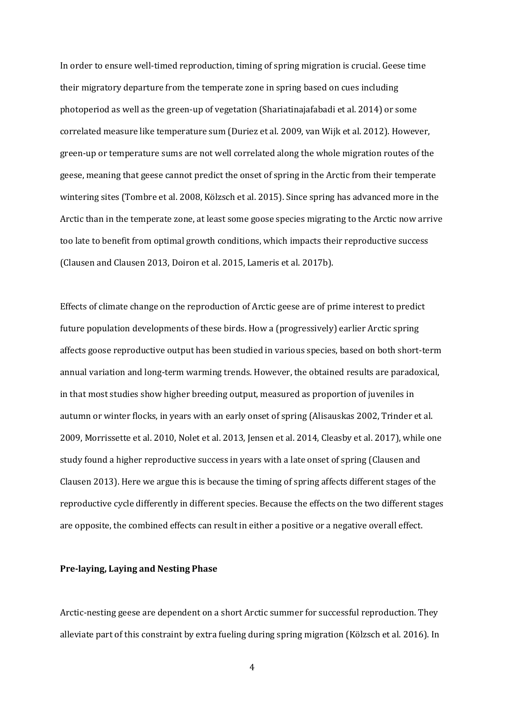In order to ensure well-timed reproduction, timing of spring migration is crucial. Geese time their migratory departure from the temperate zone in spring based on cues including photoperiod as well as the green-up of vegetation (Shariatinajafabadi et al. 2014) or some correlated measure like temperature sum (Duriez et al. 2009, van Wijk et al. 2012). However, green-up or temperature sums are not well correlated along the whole migration routes of the geese, meaning that geese cannot predict the onset of spring in the Arctic from their temperate wintering sites (Tombre et al. 2008, Kölzsch et al. 2015). Since spring has advanced more in the Arctic than in the temperate zone, at least some goose species migrating to the Arctic now arrive too late to benefit from optimal growth conditions, which impacts their reproductive success (Clausen and Clausen 2013, Doiron et al. 2015, Lameris et al. 2017b).

Effects of climate change on the reproduction of Arctic geese are of prime interest to predict future population developments of these birds. How a (progressively) earlier Arctic spring affects goose reproductive output has been studied in various species, based on both short-term annual variation and long-term warming trends. However, the obtained results are paradoxical, in that most studies show higher breeding output, measured as proportion of juveniles in autumn or winter flocks, in years with an early onset of spring (Alisauskas 2002, Trinder et al. 2009, Morrissette et al. 2010, Nolet et al. 2013, Jensen et al. 2014, Cleasby et al. 2017), while one study found a higher reproductive success in years with a late onset of spring (Clausen and Clausen 2013). Here we argue this is because the timing of spring affects different stages of the reproductive cycle differently in different species. Because the effects on the two different stages are opposite, the combined effects can result in either a positive or a negative overall effect.

#### Pre-laying, Laying and Nesting Phase

Arctic-nesting geese are dependent on a short Arctic summer for successful reproduction. They alleviate part of this constraint by extra fueling during spring migration (Kölzsch et al. 2016). In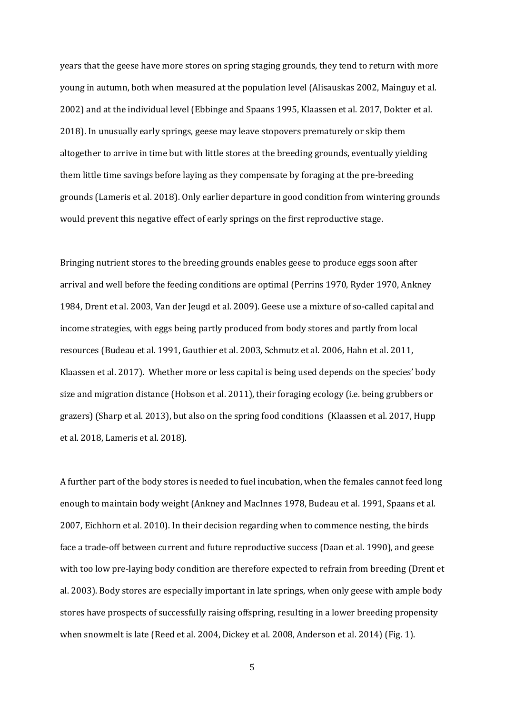years that the geese have more stores on spring staging grounds, they tend to return with more young in autumn, both when measured at the population level (Alisauskas 2002, Mainguy et al. 2002) and at the individual level (Ebbinge and Spaans 1995, Klaassen et al. 2017, Dokter et al. 2018). In unusually early springs, geese may leave stopovers prematurely or skip them altogether to arrive in time but with little stores at the breeding grounds, eventually yielding them little time savings before laying as they compensate by foraging at the pre-breeding grounds (Lameris et al. 2018). Only earlier departure in good condition from wintering grounds would prevent this negative effect of early springs on the first reproductive stage.

Bringing nutrient stores to the breeding grounds enables geese to produce eggs soon after arrival and well before the feeding conditions are optimal (Perrins 1970, Ryder 1970, Ankney 1984, Drent et al. 2003, Van der Jeugd et al. 2009). Geese use a mixture of so-called capital and income strategies, with eggs being partly produced from body stores and partly from local resources (Budeau et al. 1991, Gauthier et al. 2003, Schmutz et al. 2006, Hahn et al. 2011, Klaassen et al. 2017). Whether more or less capital is being used depends on the species' body size and migration distance (Hobson et al. 2011), their foraging ecology (i.e. being grubbers or grazers) (Sharp et al. 2013), but also on the spring food conditions (Klaassen et al. 2017, Hupp et al. 2018, Lameris et al. 2018).

A further part of the body stores is needed to fuel incubation, when the females cannot feed long enough to maintain body weight (Ankney and MacInnes 1978, Budeau et al. 1991, Spaans et al. 2007, Eichhorn et al. 2010). In their decision regarding when to commence nesting, the birds face a trade-off between current and future reproductive success (Daan et al. 1990), and geese with too low pre-laying body condition are therefore expected to refrain from breeding (Drent et al. 2003). Body stores are especially important in late springs, when only geese with ample body stores have prospects of successfully raising offspring, resulting in a lower breeding propensity when snowmelt is late (Reed et al. 2004, Dickey et al. 2008, Anderson et al. 2014) (Fig. 1).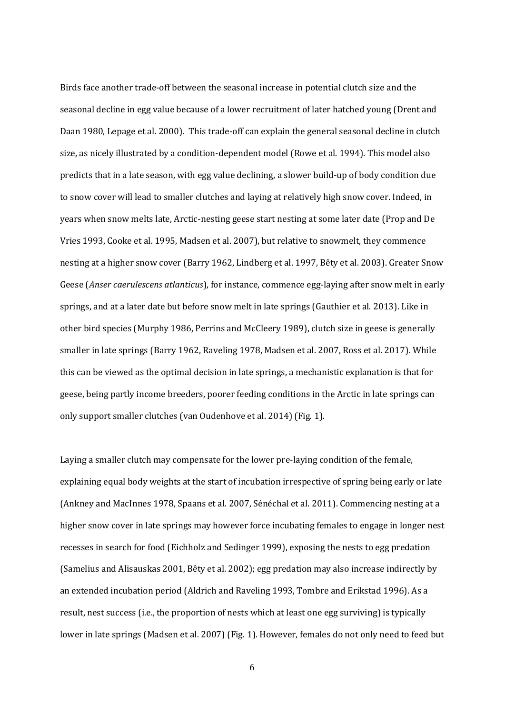Birds face another trade-off between the seasonal increase in potential clutch size and the seasonal decline in egg value because of a lower recruitment of later hatched young (Drent and Daan 1980, Lepage et al. 2000). This trade-off can explain the general seasonal decline in clutch size, as nicely illustrated by a condition-dependent model (Rowe et al. 1994). This model also predicts that in a late season, with egg value declining, a slower build-up of body condition due to snow cover will lead to smaller clutches and laying at relatively high snow cover. Indeed, in years when snow melts late, Arctic-nesting geese start nesting at some later date (Prop and De Vries 1993, Cooke et al. 1995, Madsen et al. 2007), but relative to snowmelt, they commence nesting at a higher snow cover (Barry 1962, Lindberg et al. 1997, Bêty et al. 2003). Greater Snow Geese (Anser caerulescens atlanticus), for instance, commence egg-laying after snow melt in early springs, and at a later date but before snow melt in late springs (Gauthier et al. 2013). Like in other bird species (Murphy 1986, Perrins and McCleery 1989), clutch size in geese is generally smaller in late springs (Barry 1962, Raveling 1978, Madsen et al. 2007, Ross et al. 2017). While this can be viewed as the optimal decision in late springs, a mechanistic explanation is that for geese, being partly income breeders, poorer feeding conditions in the Arctic in late springs can only support smaller clutches (van Oudenhove et al. 2014) (Fig. 1).

Laying a smaller clutch may compensate for the lower pre-laying condition of the female, explaining equal body weights at the start of incubation irrespective of spring being early or late (Ankney and MacInnes 1978, Spaans et al. 2007, Sénéchal et al. 2011). Commencing nesting at a higher snow cover in late springs may however force incubating females to engage in longer nest recesses in search for food (Eichholz and Sedinger 1999), exposing the nests to egg predation (Samelius and Alisauskas 2001, Bêty et al. 2002); egg predation may also increase indirectly by an extended incubation period (Aldrich and Raveling 1993, Tombre and Erikstad 1996). As a result, nest success (i.e., the proportion of nests which at least one egg surviving) is typically lower in late springs (Madsen et al. 2007) (Fig. 1). However, females do not only need to feed but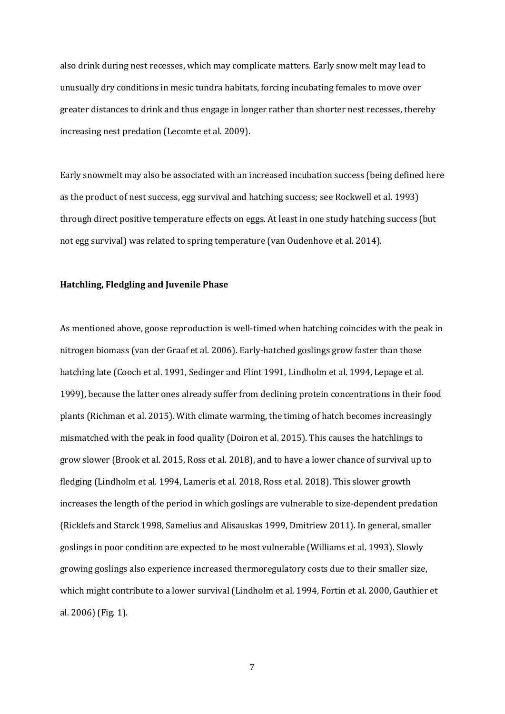also drink during nest recesses, which may complicate matters. Early snow melt may lead to unusually dry conditions in mesic tundra habitats, forcing incubating females to move over greater distances to drink and thus engage in longer rather than shorter nest recesses, thereby increasing nest predation (Lecomte et al. 2009).

Early snowmelt may also be associated with an increased incubation success (being defined here as the product of nest success, egg survival and hatching success; see Rockwell et al. 1993) through direct positive temperature effects on eggs. At least in one study hatching success (but not egg survival) was related to spring temperature (van Oudenhove et al. 2014).

#### Hatchling, Fledgling and Juvenile Phase

As mentioned above, goose reproduction is well-timed when hatching coincides with the peak in nitrogen biomass (van der Graaf et al. 2006). Early-hatched goslings grow faster than those hatching late (Cooch et al. 1991, Sedinger and Flint 1991, Lindholm et al. 1994, Lepage et al. 1999), because the latter ones already suffer from declining protein concentrations in their food plants (Richman et al. 2015). With climate warming, the timing of hatch becomes increasingly mismatched with the peak in food quality (Doiron et al. 2015). This causes the hatchlings to grow slower (Brook et al. 2015, Ross et al. 2018), and to have a lower chance of survival up to fledging (Lindholm et al. 1994, Lameris et al. 2018, Ross et al. 2018). This slower growth increases the length of the period in which goslings are vulnerable to size-dependent predation (Ricklefs and Starck 1998, Samelius and Alisauskas 1999, Dmitriew 2011). In general, smaller goslings in poor condition are expected to be most vulnerable (Williams et al. 1993). Slowly growing goslings also experience increased thermoregulatory costs due to their smaller size, which might contribute to a lower survival (Lindholm et al. 1994, Fortin et al. 2000, Gauthier et al. 2006) (Fig. 1).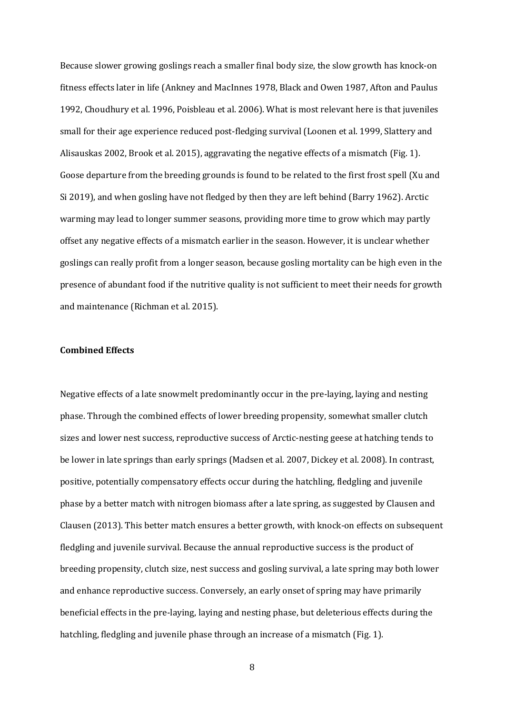Because slower growing goslings reach a smaller final body size, the slow growth has knock-on fitness effects later in life (Ankney and MacInnes 1978, Black and Owen 1987, Afton and Paulus 1992, Choudhury et al. 1996, Poisbleau et al. 2006). What is most relevant here is that juveniles small for their age experience reduced post-fledging survival (Loonen et al. 1999, Slattery and Alisauskas 2002, Brook et al. 2015), aggravating the negative effects of a mismatch (Fig. 1). Goose departure from the breeding grounds is found to be related to the first frost spell (Xu and Si 2019), and when gosling have not fledged by then they are left behind (Barry 1962). Arctic warming may lead to longer summer seasons, providing more time to grow which may partly offset any negative effects of a mismatch earlier in the season. However, it is unclear whether goslings can really profit from a longer season, because gosling mortality can be high even in the presence of abundant food if the nutritive quality is not sufficient to meet their needs for growth and maintenance (Richman et al. 2015).

## Combined Effects

Negative effects of a late snowmelt predominantly occur in the pre-laying, laying and nesting phase. Through the combined effects of lower breeding propensity, somewhat smaller clutch sizes and lower nest success, reproductive success of Arctic-nesting geese at hatching tends to be lower in late springs than early springs (Madsen et al. 2007, Dickey et al. 2008). In contrast, positive, potentially compensatory effects occur during the hatchling, fledgling and juvenile phase by a better match with nitrogen biomass after a late spring, as suggested by Clausen and Clausen (2013). This better match ensures a better growth, with knock-on effects on subsequent fledgling and juvenile survival. Because the annual reproductive success is the product of breeding propensity, clutch size, nest success and gosling survival, a late spring may both lower and enhance reproductive success. Conversely, an early onset of spring may have primarily beneficial effects in the pre-laying, laying and nesting phase, but deleterious effects during the hatchling, fledgling and juvenile phase through an increase of a mismatch (Fig. 1).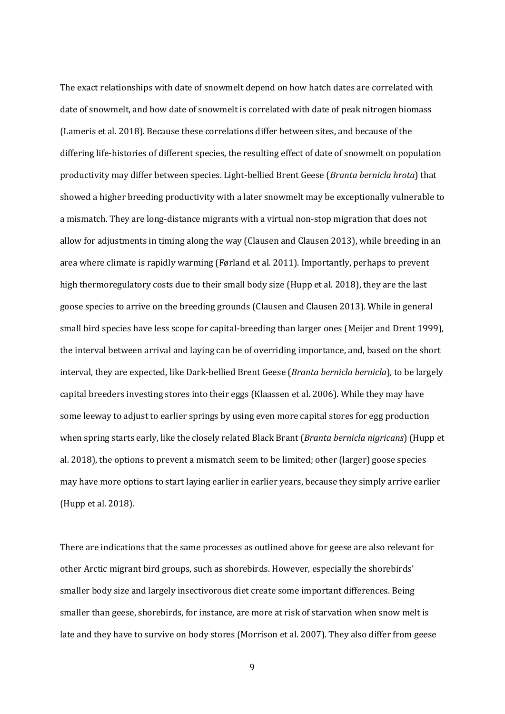The exact relationships with date of snowmelt depend on how hatch dates are correlated with date of snowmelt, and how date of snowmelt is correlated with date of peak nitrogen biomass (Lameris et al. 2018). Because these correlations differ between sites, and because of the differing life-histories of different species, the resulting effect of date of snowmelt on population productivity may differ between species. Light-bellied Brent Geese (Branta bernicla hrota) that showed a higher breeding productivity with a later snowmelt may be exceptionally vulnerable to a mismatch. They are long-distance migrants with a virtual non-stop migration that does not allow for adjustments in timing along the way (Clausen and Clausen 2013), while breeding in an area where climate is rapidly warming (Førland et al. 2011). Importantly, perhaps to prevent high thermoregulatory costs due to their small body size (Hupp et al. 2018), they are the last goose species to arrive on the breeding grounds (Clausen and Clausen 2013). While in general small bird species have less scope for capital-breeding than larger ones (Meijer and Drent 1999), the interval between arrival and laying can be of overriding importance, and, based on the short interval, they are expected, like Dark-bellied Brent Geese (*Branta bernicla bernicla*), to be largely capital breeders investing stores into their eggs (Klaassen et al. 2006). While they may have some leeway to adjust to earlier springs by using even more capital stores for egg production when spring starts early, like the closely related Black Brant *(Branta bernicla nigricans*) (Hupp et al. 2018), the options to prevent a mismatch seem to be limited; other (larger) goose species may have more options to start laying earlier in earlier years, because they simply arrive earlier (Hupp et al. 2018).

There are indications that the same processes as outlined above for geese are also relevant for other Arctic migrant bird groups, such as shorebirds. However, especially the shorebirds' smaller body size and largely insectivorous diet create some important differences. Being smaller than geese, shorebirds, for instance, are more at risk of starvation when snow melt is late and they have to survive on body stores (Morrison et al. 2007). They also differ from geese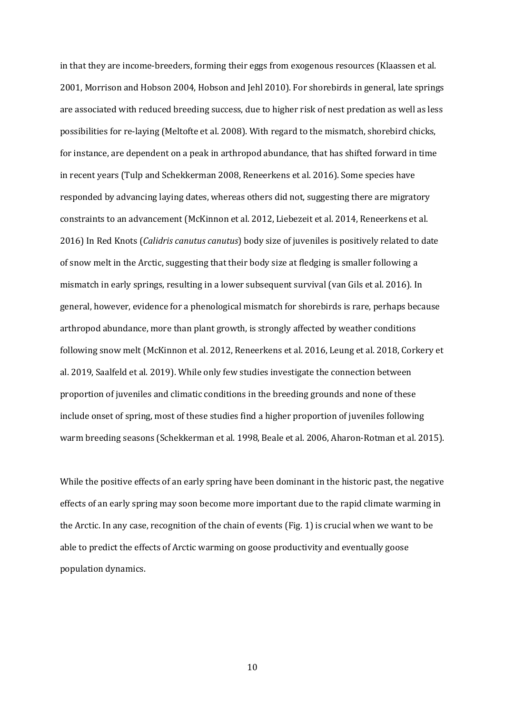in that they are income-breeders, forming their eggs from exogenous resources (Klaassen et al. 2001, Morrison and Hobson 2004, Hobson and Jehl 2010). For shorebirds in general, late springs are associated with reduced breeding success, due to higher risk of nest predation as well as less possibilities for re-laying (Meltofte et al. 2008). With regard to the mismatch, shorebird chicks, for instance, are dependent on a peak in arthropod abundance, that has shifted forward in time in recent years (Tulp and Schekkerman 2008, Reneerkens et al. 2016). Some species have responded by advancing laying dates, whereas others did not, suggesting there are migratory constraints to an advancement (McKinnon et al. 2012, Liebezeit et al. 2014, Reneerkens et al. 2016) In Red Knots (Calidris canutus canutus) body size of juveniles is positively related to date of snow melt in the Arctic, suggesting that their body size at fledging is smaller following a mismatch in early springs, resulting in a lower subsequent survival (van Gils et al. 2016). In general, however, evidence for a phenological mismatch for shorebirds is rare, perhaps because arthropod abundance, more than plant growth, is strongly affected by weather conditions following snow melt (McKinnon et al. 2012, Reneerkens et al. 2016, Leung et al. 2018, Corkery et al. 2019, Saalfeld et al. 2019). While only few studies investigate the connection between proportion of juveniles and climatic conditions in the breeding grounds and none of these include onset of spring, most of these studies find a higher proportion of juveniles following warm breeding seasons (Schekkerman et al. 1998, Beale et al. 2006, Aharon-Rotman et al. 2015).

While the positive effects of an early spring have been dominant in the historic past, the negative effects of an early spring may soon become more important due to the rapid climate warming in the Arctic. In any case, recognition of the chain of events (Fig. 1) is crucial when we want to be able to predict the effects of Arctic warming on goose productivity and eventually goose population dynamics.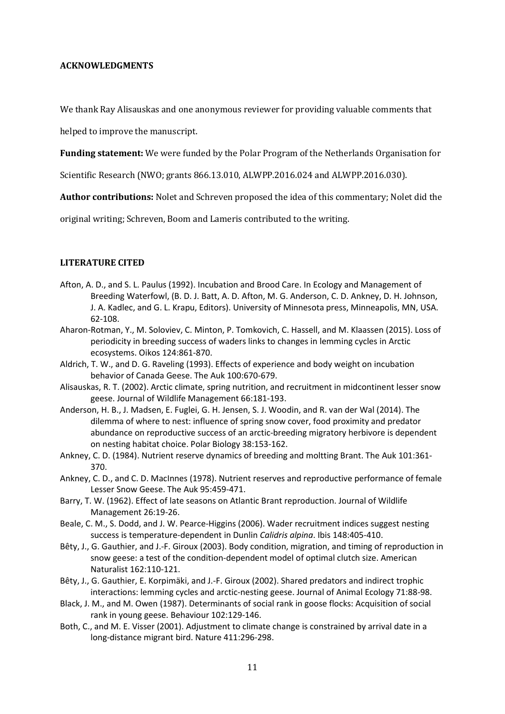## ACKNOWLEDGMENTS

We thank Ray Alisauskas and one anonymous reviewer for providing valuable comments that

helped to improve the manuscript.

Funding statement: We were funded by the Polar Program of the Netherlands Organisation for

Scientific Research (NWO; grants 866.13.010, ALWPP.2016.024 and ALWPP.2016.030).

Author contributions: Nolet and Schreven proposed the idea of this commentary; Nolet did the

original writing; Schreven, Boom and Lameris contributed to the writing.

# LITERATURE CITED

- Afton, A. D., and S. L. Paulus (1992). Incubation and Brood Care. In Ecology and Management of Breeding Waterfowl, (B. D. J. Batt, A. D. Afton, M. G. Anderson, C. D. Ankney, D. H. Johnson, J. A. Kadlec, and G. L. Krapu, Editors). University of Minnesota press, Minneapolis, MN, USA. 62-108.
- Aharon-Rotman, Y., M. Soloviev, C. Minton, P. Tomkovich, C. Hassell, and M. Klaassen (2015). Loss of periodicity in breeding success of waders links to changes in lemming cycles in Arctic ecosystems. Oikos 124:861-870.
- Aldrich, T. W., and D. G. Raveling (1993). Effects of experience and body weight on incubation behavior of Canada Geese. The Auk 100:670-679.
- Alisauskas, R. T. (2002). Arctic climate, spring nutrition, and recruitment in midcontinent lesser snow geese. Journal of Wildlife Management 66:181-193.
- Anderson, H. B., J. Madsen, E. Fuglei, G. H. Jensen, S. J. Woodin, and R. van der Wal (2014). The dilemma of where to nest: influence of spring snow cover, food proximity and predator abundance on reproductive success of an arctic-breeding migratory herbivore is dependent on nesting habitat choice. Polar Biology 38:153-162.
- Ankney, C. D. (1984). Nutrient reserve dynamics of breeding and moltting Brant. The Auk 101:361- 370.
- Ankney, C. D., and C. D. MacInnes (1978). Nutrient reserves and reproductive performance of female Lesser Snow Geese. The Auk 95:459-471.
- Barry, T. W. (1962). Effect of late seasons on Atlantic Brant reproduction. Journal of Wildlife Management 26:19-26.
- Beale, C. M., S. Dodd, and J. W. Pearce-Higgins (2006). Wader recruitment indices suggest nesting success is temperature-dependent in Dunlin Calidris alpina. Ibis 148:405-410.
- Bêty, J., G. Gauthier, and J.-F. Giroux (2003). Body condition, migration, and timing of reproduction in snow geese: a test of the condition-dependent model of optimal clutch size. American Naturalist 162:110-121.
- Bêty, J., G. Gauthier, E. Korpimäki, and J.-F. Giroux (2002). Shared predators and indirect trophic interactions: lemming cycles and arctic-nesting geese. Journal of Animal Ecology 71:88-98.
- Black, J. M., and M. Owen (1987). Determinants of social rank in goose flocks: Acquisition of social rank in young geese. Behaviour 102:129-146.
- Both, C., and M. E. Visser (2001). Adjustment to climate change is constrained by arrival date in a long-distance migrant bird. Nature 411:296-298.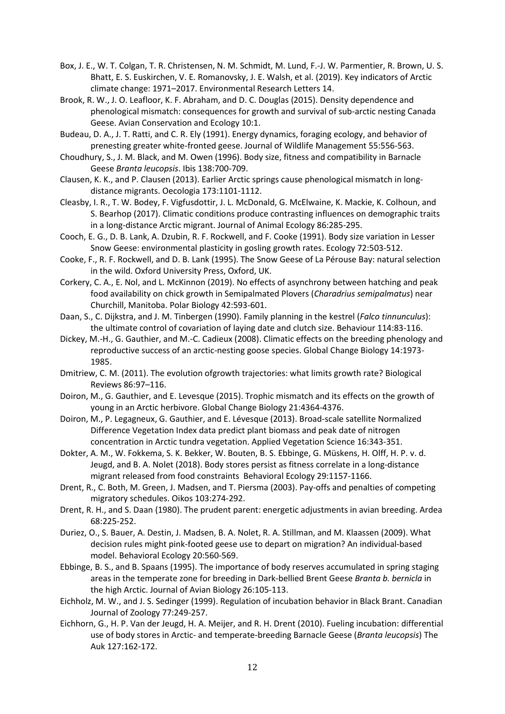- Box, J. E., W. T. Colgan, T. R. Christensen, N. M. Schmidt, M. Lund, F.-J. W. Parmentier, R. Brown, U. S. Bhatt, E. S. Euskirchen, V. E. Romanovsky, J. E. Walsh, et al. (2019). Key indicators of Arctic climate change: 1971–2017. Environmental Research Letters 14.
- Brook, R. W., J. O. Leafloor, K. F. Abraham, and D. C. Douglas (2015). Density dependence and phenological mismatch: consequences for growth and survival of sub-arctic nesting Canada Geese. Avian Conservation and Ecology 10:1.
- Budeau, D. A., J. T. Ratti, and C. R. Ely (1991). Energy dynamics, foraging ecology, and behavior of prenesting greater white-fronted geese. Journal of Wildlife Management 55:556-563.
- Choudhury, S., J. M. Black, and M. Owen (1996). Body size, fitness and compatibility in Barnacle Geese Branta leucopsis. Ibis 138:700-709.
- Clausen, K. K., and P. Clausen (2013). Earlier Arctic springs cause phenological mismatch in longdistance migrants. Oecologia 173:1101-1112.
- Cleasby, I. R., T. W. Bodey, F. Vigfusdottir, J. L. McDonald, G. McElwaine, K. Mackie, K. Colhoun, and S. Bearhop (2017). Climatic conditions produce contrasting influences on demographic traits in a long-distance Arctic migrant. Journal of Animal Ecology 86:285-295.
- Cooch, E. G., D. B. Lank, A. Dzubin, R. F. Rockwell, and F. Cooke (1991). Body size variation in Lesser Snow Geese: environmental plasticity in gosling growth rates. Ecology 72:503-512.
- Cooke, F., R. F. Rockwell, and D. B. Lank (1995). The Snow Geese of La Pérouse Bay: natural selection in the wild. Oxford University Press, Oxford, UK.
- Corkery, C. A., E. Nol, and L. McKinnon (2019). No effects of asynchrony between hatching and peak food availability on chick growth in Semipalmated Plovers (Charadrius semipalmatus) near Churchill, Manitoba. Polar Biology 42:593-601.
- Daan, S., C. Dijkstra, and J. M. Tinbergen (1990). Family planning in the kestrel (Falco tinnunculus): the ultimate control of covariation of laying date and clutch size. Behaviour 114:83-116.
- Dickey, M.-H., G. Gauthier, and M.-C. Cadieux (2008). Climatic effects on the breeding phenology and reproductive success of an arctic-nesting goose species. Global Change Biology 14:1973- 1985.
- Dmitriew, C. M. (2011). The evolution ofgrowth trajectories: what limits growth rate? Biological Reviews 86:97–116.
- Doiron, M., G. Gauthier, and E. Levesque (2015). Trophic mismatch and its effects on the growth of young in an Arctic herbivore. Global Change Biology 21:4364-4376.
- Doiron, M., P. Legagneux, G. Gauthier, and E. Lévesque (2013). Broad-scale satellite Normalized Difference Vegetation Index data predict plant biomass and peak date of nitrogen concentration in Arctic tundra vegetation. Applied Vegetation Science 16:343-351.
- Dokter, A. M., W. Fokkema, S. K. Bekker, W. Bouten, B. S. Ebbinge, G. Müskens, H. Olff, H. P. v. d. Jeugd, and B. A. Nolet (2018). Body stores persist as fitness correlate in a long-distance migrant released from food constraints Behavioral Ecology 29:1157-1166.
- Drent, R., C. Both, M. Green, J. Madsen, and T. Piersma (2003). Pay-offs and penalties of competing migratory schedules. Oikos 103:274-292.
- Drent, R. H., and S. Daan (1980). The prudent parent: energetic adjustments in avian breeding. Ardea 68:225-252.
- Duriez, O., S. Bauer, A. Destin, J. Madsen, B. A. Nolet, R. A. Stillman, and M. Klaassen (2009). What decision rules might pink-footed geese use to depart on migration? An individual-based model. Behavioral Ecology 20:560-569.
- Ebbinge, B. S., and B. Spaans (1995). The importance of body reserves accumulated in spring staging areas in the temperate zone for breeding in Dark-bellied Brent Geese Branta b. bernicla in the high Arctic. Journal of Avian Biology 26:105-113.
- Eichholz, M. W., and J. S. Sedinger (1999). Regulation of incubation behavior in Black Brant. Canadian Journal of Zoology 77:249-257.
- Eichhorn, G., H. P. Van der Jeugd, H. A. Meijer, and R. H. Drent (2010). Fueling incubation: differential use of body stores in Arctic- and temperate-breeding Barnacle Geese (Branta leucopsis) The Auk 127:162-172.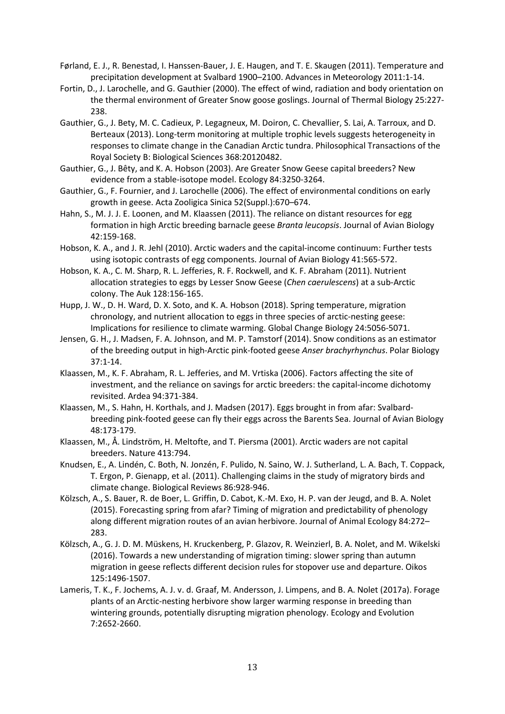- Førland, E. J., R. Benestad, I. Hanssen-Bauer, J. E. Haugen, and T. E. Skaugen (2011). Temperature and precipitation development at Svalbard 1900–2100. Advances in Meteorology 2011:1-14.
- Fortin, D., J. Larochelle, and G. Gauthier (2000). The effect of wind, radiation and body orientation on the thermal environment of Greater Snow goose goslings. Journal of Thermal Biology 25:227- 238.
- Gauthier, G., J. Bety, M. C. Cadieux, P. Legagneux, M. Doiron, C. Chevallier, S. Lai, A. Tarroux, and D. Berteaux (2013). Long-term monitoring at multiple trophic levels suggests heterogeneity in responses to climate change in the Canadian Arctic tundra. Philosophical Transactions of the Royal Society B: Biological Sciences 368:20120482.
- Gauthier, G., J. Bêty, and K. A. Hobson (2003). Are Greater Snow Geese capital breeders? New evidence from a stable-isotope model. Ecology 84:3250-3264.
- Gauthier, G., F. Fournier, and J. Larochelle (2006). The effect of environmental conditions on early growth in geese. Acta Zooligica Sinica 52(Suppl.):670–674.
- Hahn, S., M. J. J. E. Loonen, and M. Klaassen (2011). The reliance on distant resources for egg formation in high Arctic breeding barnacle geese Branta leucopsis. Journal of Avian Biology 42:159-168.
- Hobson, K. A., and J. R. Jehl (2010). Arctic waders and the capital-income continuum: Further tests using isotopic contrasts of egg components. Journal of Avian Biology 41:565-572.
- Hobson, K. A., C. M. Sharp, R. L. Jefferies, R. F. Rockwell, and K. F. Abraham (2011). Nutrient allocation strategies to eggs by Lesser Snow Geese (Chen caerulescens) at a sub-Arctic colony. The Auk 128:156-165.
- Hupp, J. W., D. H. Ward, D. X. Soto, and K. A. Hobson (2018). Spring temperature, migration chronology, and nutrient allocation to eggs in three species of arctic-nesting geese: Implications for resilience to climate warming. Global Change Biology 24:5056-5071.
- Jensen, G. H., J. Madsen, F. A. Johnson, and M. P. Tamstorf (2014). Snow conditions as an estimator of the breeding output in high-Arctic pink-footed geese Anser brachyrhynchus. Polar Biology 37:1-14.
- Klaassen, M., K. F. Abraham, R. L. Jefferies, and M. Vrtiska (2006). Factors affecting the site of investment, and the reliance on savings for arctic breeders: the capital-income dichotomy revisited. Ardea 94:371-384.
- Klaassen, M., S. Hahn, H. Korthals, and J. Madsen (2017). Eggs brought in from afar: Svalbardbreeding pink-footed geese can fly their eggs across the Barents Sea. Journal of Avian Biology 48:173-179.
- Klaassen, M., Å. Lindström, H. Meltofte, and T. Piersma (2001). Arctic waders are not capital breeders. Nature 413:794.
- Knudsen, E., A. Lindén, C. Both, N. Jonzén, F. Pulido, N. Saino, W. J. Sutherland, L. A. Bach, T. Coppack, T. Ergon, P. Gienapp, et al. (2011). Challenging claims in the study of migratory birds and climate change. Biological Reviews 86:928-946.
- Kölzsch, A., S. Bauer, R. de Boer, L. Griffin, D. Cabot, K.-M. Exo, H. P. van der Jeugd, and B. A. Nolet (2015). Forecasting spring from afar? Timing of migration and predictability of phenology along different migration routes of an avian herbivore. Journal of Animal Ecology 84:272– 283.
- Kölzsch, A., G. J. D. M. Müskens, H. Kruckenberg, P. Glazov, R. Weinzierl, B. A. Nolet, and M. Wikelski (2016). Towards a new understanding of migration timing: slower spring than autumn migration in geese reflects different decision rules for stopover use and departure. Oikos 125:1496-1507.
- Lameris, T. K., F. Jochems, A. J. v. d. Graaf, M. Andersson, J. Limpens, and B. A. Nolet (2017a). Forage plants of an Arctic-nesting herbivore show larger warming response in breeding than wintering grounds, potentially disrupting migration phenology. Ecology and Evolution 7:2652-2660.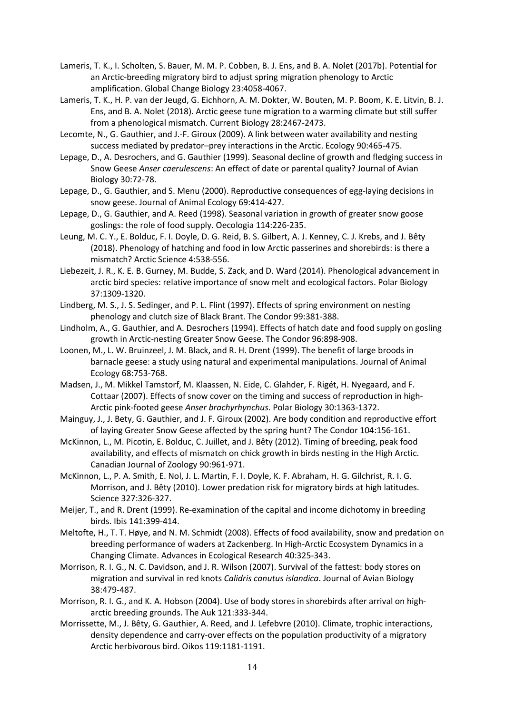- Lameris, T. K., I. Scholten, S. Bauer, M. M. P. Cobben, B. J. Ens, and B. A. Nolet (2017b). Potential for an Arctic-breeding migratory bird to adjust spring migration phenology to Arctic amplification. Global Change Biology 23:4058-4067.
- Lameris, T. K., H. P. van der Jeugd, G. Eichhorn, A. M. Dokter, W. Bouten, M. P. Boom, K. E. Litvin, B. J. Ens, and B. A. Nolet (2018). Arctic geese tune migration to a warming climate but still suffer from a phenological mismatch. Current Biology 28:2467-2473.
- Lecomte, N., G. Gauthier, and J.-F. Giroux (2009). A link between water availability and nesting success mediated by predator–prey interactions in the Arctic. Ecology 90:465-475.
- Lepage, D., A. Desrochers, and G. Gauthier (1999). Seasonal decline of growth and fledging success in Snow Geese Anser caerulescens: An effect of date or parental quality? Journal of Avian Biology 30:72-78.
- Lepage, D., G. Gauthier, and S. Menu (2000). Reproductive consequences of egg-laying decisions in snow geese. Journal of Animal Ecology 69:414-427.
- Lepage, D., G. Gauthier, and A. Reed (1998). Seasonal variation in growth of greater snow goose goslings: the role of food supply. Oecologia 114:226-235.
- Leung, M. C. Y., E. Bolduc, F. I. Doyle, D. G. Reid, B. S. Gilbert, A. J. Kenney, C. J. Krebs, and J. Bêty (2018). Phenology of hatching and food in low Arctic passerines and shorebirds: is there a mismatch? Arctic Science 4:538-556.
- Liebezeit, J. R., K. E. B. Gurney, M. Budde, S. Zack, and D. Ward (2014). Phenological advancement in arctic bird species: relative importance of snow melt and ecological factors. Polar Biology 37:1309-1320.
- Lindberg, M. S., J. S. Sedinger, and P. L. Flint (1997). Effects of spring environment on nesting phenology and clutch size of Black Brant. The Condor 99:381-388.
- Lindholm, A., G. Gauthier, and A. Desrochers (1994). Effects of hatch date and food supply on gosling growth in Arctic-nesting Greater Snow Geese. The Condor 96:898-908.
- Loonen, M., L. W. Bruinzeel, J. M. Black, and R. H. Drent (1999). The benefit of large broods in barnacle geese: a study using natural and experimental manipulations. Journal of Animal Ecology 68:753-768.
- Madsen, J., M. Mikkel Tamstorf, M. Klaassen, N. Eide, C. Glahder, F. Rigét, H. Nyegaard, and F. Cottaar (2007). Effects of snow cover on the timing and success of reproduction in high-Arctic pink-footed geese Anser brachyrhynchus. Polar Biology 30:1363-1372.
- Mainguy, J., J. Bety, G. Gauthier, and J. F. Giroux (2002). Are body condition and reproductive effort of laying Greater Snow Geese affected by the spring hunt? The Condor 104:156-161.
- McKinnon, L., M. Picotin, E. Bolduc, C. Juillet, and J. Bêty (2012). Timing of breeding, peak food availability, and effects of mismatch on chick growth in birds nesting in the High Arctic. Canadian Journal of Zoology 90:961-971.
- McKinnon, L., P. A. Smith, E. Nol, J. L. Martin, F. I. Doyle, K. F. Abraham, H. G. Gilchrist, R. I. G. Morrison, and J. Bêty (2010). Lower predation risk for migratory birds at high latitudes. Science 327:326-327.
- Meijer, T., and R. Drent (1999). Re-examination of the capital and income dichotomy in breeding birds. Ibis 141:399-414.
- Meltofte, H., T. T. Høye, and N. M. Schmidt (2008). Effects of food availability, snow and predation on breeding performance of waders at Zackenberg. In High-Arctic Ecosystem Dynamics in a Changing Climate. Advances in Ecological Research 40:325-343.
- Morrison, R. I. G., N. C. Davidson, and J. R. Wilson (2007). Survival of the fattest: body stores on migration and survival in red knots Calidris canutus islandica. Journal of Avian Biology 38:479-487.
- Morrison, R. I. G., and K. A. Hobson (2004). Use of body stores in shorebirds after arrival on higharctic breeding grounds. The Auk 121:333-344.
- Morrissette, M., J. Bêty, G. Gauthier, A. Reed, and J. Lefebvre (2010). Climate, trophic interactions, density dependence and carry-over effects on the population productivity of a migratory Arctic herbivorous bird. Oikos 119:1181-1191.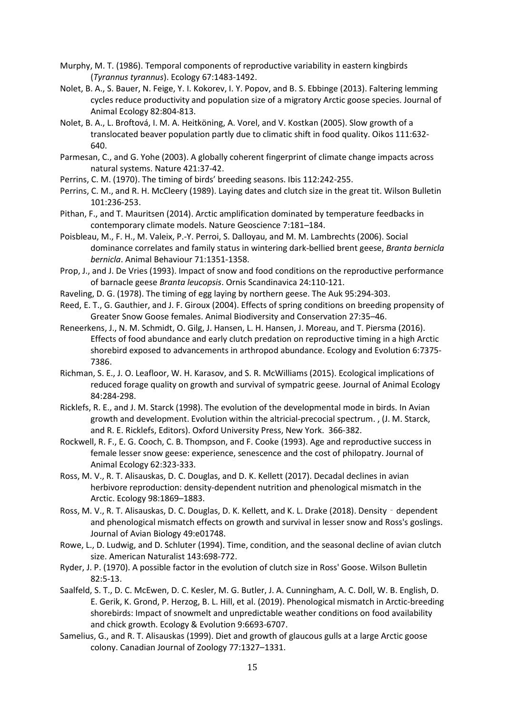- Murphy, M. T. (1986). Temporal components of reproductive variability in eastern kingbirds (Tyrannus tyrannus). Ecology 67:1483-1492.
- Nolet, B. A., S. Bauer, N. Feige, Y. I. Kokorev, I. Y. Popov, and B. S. Ebbinge (2013). Faltering lemming cycles reduce productivity and population size of a migratory Arctic goose species. Journal of Animal Ecology 82:804-813.
- Nolet, B. A., L. Broftová, I. M. A. Heitköning, A. Vorel, and V. Kostkan (2005). Slow growth of a translocated beaver population partly due to climatic shift in food quality. Oikos 111:632- 640.
- Parmesan, C., and G. Yohe (2003). A globally coherent fingerprint of climate change impacts across natural systems. Nature 421:37-42.
- Perrins, C. M. (1970). The timing of birds' breeding seasons. Ibis 112:242-255.
- Perrins, C. M., and R. H. McCleery (1989). Laying dates and clutch size in the great tit. Wilson Bulletin 101:236-253.
- Pithan, F., and T. Mauritsen (2014). Arctic amplification dominated by temperature feedbacks in contemporary climate models. Nature Geoscience 7:181–184.
- Poisbleau, M., F. H., M. Valeix, P.-Y. Perroi, S. Dalloyau, and M. M. Lambrechts (2006). Social dominance correlates and family status in wintering dark-bellied brent geese, Branta bernicla bernicla. Animal Behaviour 71:1351-1358.
- Prop, J., and J. De Vries (1993). Impact of snow and food conditions on the reproductive performance of barnacle geese Branta leucopsis. Ornis Scandinavica 24:110-121.
- Raveling, D. G. (1978). The timing of egg laying by northern geese. The Auk 95:294-303.
- Reed, E. T., G. Gauthier, and J. F. Giroux (2004). Effects of spring conditions on breeding propensity of Greater Snow Goose females. Animal Biodiversity and Conservation 27:35–46.
- Reneerkens, J., N. M. Schmidt, O. Gilg, J. Hansen, L. H. Hansen, J. Moreau, and T. Piersma (2016). Effects of food abundance and early clutch predation on reproductive timing in a high Arctic shorebird exposed to advancements in arthropod abundance. Ecology and Evolution 6:7375- 7386.
- Richman, S. E., J. O. Leafloor, W. H. Karasov, and S. R. McWilliams (2015). Ecological implications of reduced forage quality on growth and survival of sympatric geese. Journal of Animal Ecology 84:284-298.
- Ricklefs, R. E., and J. M. Starck (1998). The evolution of the developmental mode in birds. In Avian growth and development. Evolution within the altricial-precocial spectrum. , (J. M. Starck, and R. E. Ricklefs, Editors). Oxford University Press, New York. 366-382.
- Rockwell, R. F., E. G. Cooch, C. B. Thompson, and F. Cooke (1993). Age and reproductive success in female lesser snow geese: experience, senescence and the cost of philopatry. Journal of Animal Ecology 62:323-333.
- Ross, M. V., R. T. Alisauskas, D. C. Douglas, and D. K. Kellett (2017). Decadal declines in avian herbivore reproduction: density-dependent nutrition and phenological mismatch in the Arctic. Ecology 98:1869–1883.
- Ross, M. V., R. T. Alisauskas, D. C. Douglas, D. K. Kellett, and K. L. Drake (2018). Density dependent and phenological mismatch effects on growth and survival in lesser snow and Ross's goslings. Journal of Avian Biology 49:e01748.
- Rowe, L., D. Ludwig, and D. Schluter (1994). Time, condition, and the seasonal decline of avian clutch size. American Naturalist 143:698-772.
- Ryder, J. P. (1970). A possible factor in the evolution of clutch size in Ross' Goose. Wilson Bulletin 82:5-13.
- Saalfeld, S. T., D. C. McEwen, D. C. Kesler, M. G. Butler, J. A. Cunningham, A. C. Doll, W. B. English, D. E. Gerik, K. Grond, P. Herzog, B. L. Hill, et al. (2019). Phenological mismatch in Arctic-breeding shorebirds: Impact of snowmelt and unpredictable weather conditions on food availability and chick growth. Ecology & Evolution 9:6693-6707.
- Samelius, G., and R. T. Alisauskas (1999). Diet and growth of glaucous gulls at a large Arctic goose colony. Canadian Journal of Zoology 77:1327–1331.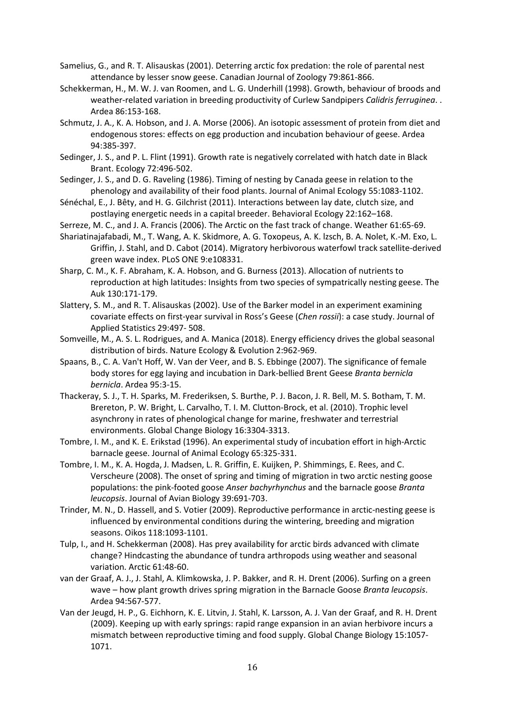- Samelius, G., and R. T. Alisauskas (2001). Deterring arctic fox predation: the role of parental nest attendance by lesser snow geese. Canadian Journal of Zoology 79:861-866.
- Schekkerman, H., M. W. J. van Roomen, and L. G. Underhill (1998). Growth, behaviour of broods and weather-related variation in breeding productivity of Curlew Sandpipers Calidris ferruginea.. Ardea 86:153-168.
- Schmutz, J. A., K. A. Hobson, and J. A. Morse (2006). An isotopic assessment of protein from diet and endogenous stores: effects on egg production and incubation behaviour of geese. Ardea 94:385-397.
- Sedinger, J. S., and P. L. Flint (1991). Growth rate is negatively correlated with hatch date in Black Brant. Ecology 72:496-502.
- Sedinger, J. S., and D. G. Raveling (1986). Timing of nesting by Canada geese in relation to the phenology and availability of their food plants. Journal of Animal Ecology 55:1083-1102.
- Sénéchal, E., J. Bêty, and H. G. Gilchrist (2011). Interactions between lay date, clutch size, and postlaying energetic needs in a capital breeder. Behavioral Ecology 22:162–168.
- Serreze, M. C., and J. A. Francis (2006). The Arctic on the fast track of change. Weather 61:65-69.
- Shariatinajafabadi, M., T. Wang, A. K. Skidmore, A. G. Toxopeus, A. K. lzsch, B. A. Nolet, K.-M. Exo, L. Griffin, J. Stahl, and D. Cabot (2014). Migratory herbivorous waterfowl track satellite-derived green wave index. PLoS ONE 9:e108331.
- Sharp, C. M., K. F. Abraham, K. A. Hobson, and G. Burness (2013). Allocation of nutrients to reproduction at high latitudes: Insights from two species of sympatrically nesting geese. The Auk 130:171-179.
- Slattery, S. M., and R. T. Alisauskas (2002). Use of the Barker model in an experiment examining covariate effects on first-year survival in Ross's Geese (Chen rossii): a case study. Journal of Applied Statistics 29:497- 508.
- Somveille, M., A. S. L. Rodrigues, and A. Manica (2018). Energy efficiency drives the global seasonal distribution of birds. Nature Ecology & Evolution 2:962-969.
- Spaans, B., C. A. Van't Hoff, W. Van der Veer, and B. S. Ebbinge (2007). The significance of female body stores for egg laying and incubation in Dark-bellied Brent Geese Branta bernicla bernicla. Ardea 95:3-15.
- Thackeray, S. J., T. H. Sparks, M. Frederiksen, S. Burthe, P. J. Bacon, J. R. Bell, M. S. Botham, T. M. Brereton, P. W. Bright, L. Carvalho, T. I. M. Clutton-Brock, et al. (2010). Trophic level asynchrony in rates of phenological change for marine, freshwater and terrestrial environments. Global Change Biology 16:3304-3313.
- Tombre, I. M., and K. E. Erikstad (1996). An experimental study of incubation effort in high-Arctic barnacle geese. Journal of Animal Ecology 65:325-331.
- Tombre, I. M., K. A. Hogda, J. Madsen, L. R. Griffin, E. Kuijken, P. Shimmings, E. Rees, and C. Verscheure (2008). The onset of spring and timing of migration in two arctic nesting goose populations: the pink-footed goose Anser bachyrhynchus and the barnacle goose Branta leucopsis. Journal of Avian Biology 39:691-703.
- Trinder, M. N., D. Hassell, and S. Votier (2009). Reproductive performance in arctic-nesting geese is influenced by environmental conditions during the wintering, breeding and migration seasons. Oikos 118:1093-1101.
- Tulp, I., and H. Schekkerman (2008). Has prey availability for arctic birds advanced with climate change? Hindcasting the abundance of tundra arthropods using weather and seasonal variation. Arctic 61:48-60.
- van der Graaf, A. J., J. Stahl, A. Klimkowska, J. P. Bakker, and R. H. Drent (2006). Surfing on a green wave – how plant growth drives spring migration in the Barnacle Goose Branta leucopsis. Ardea 94:567-577.
- Van der Jeugd, H. P., G. Eichhorn, K. E. Litvin, J. Stahl, K. Larsson, A. J. Van der Graaf, and R. H. Drent (2009). Keeping up with early springs: rapid range expansion in an avian herbivore incurs a mismatch between reproductive timing and food supply. Global Change Biology 15:1057- 1071.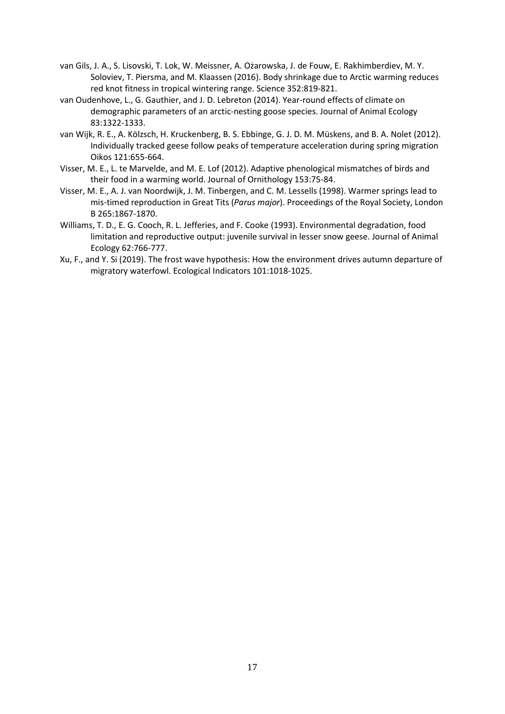- van Gils, J. A., S. Lisovski, T. Lok, W. Meissner, A. Ożarowska, J. de Fouw, E. Rakhimberdiev, M. Y. Soloviev, T. Piersma, and M. Klaassen (2016). Body shrinkage due to Arctic warming reduces red knot fitness in tropical wintering range. Science 352:819-821.
- van Oudenhove, L., G. Gauthier, and J. D. Lebreton (2014). Year-round effects of climate on demographic parameters of an arctic-nesting goose species. Journal of Animal Ecology 83:1322-1333.
- van Wijk, R. E., A. Kölzsch, H. Kruckenberg, B. S. Ebbinge, G. J. D. M. Müskens, and B. A. Nolet (2012). Individually tracked geese follow peaks of temperature acceleration during spring migration Oikos 121:655-664.
- Visser, M. E., L. te Marvelde, and M. E. Lof (2012). Adaptive phenological mismatches of birds and their food in a warming world. Journal of Ornithology 153:75-84.
- Visser, M. E., A. J. van Noordwijk, J. M. Tinbergen, and C. M. Lessells (1998). Warmer springs lead to mis-timed reproduction in Great Tits (Parus major). Proceedings of the Royal Society, London B 265:1867-1870.
- Williams, T. D., E. G. Cooch, R. L. Jefferies, and F. Cooke (1993). Environmental degradation, food limitation and reproductive output: juvenile survival in lesser snow geese. Journal of Animal Ecology 62:766-777.
- Xu, F., and Y. Si (2019). The frost wave hypothesis: How the environment drives autumn departure of migratory waterfowl. Ecological Indicators 101:1018-1025.